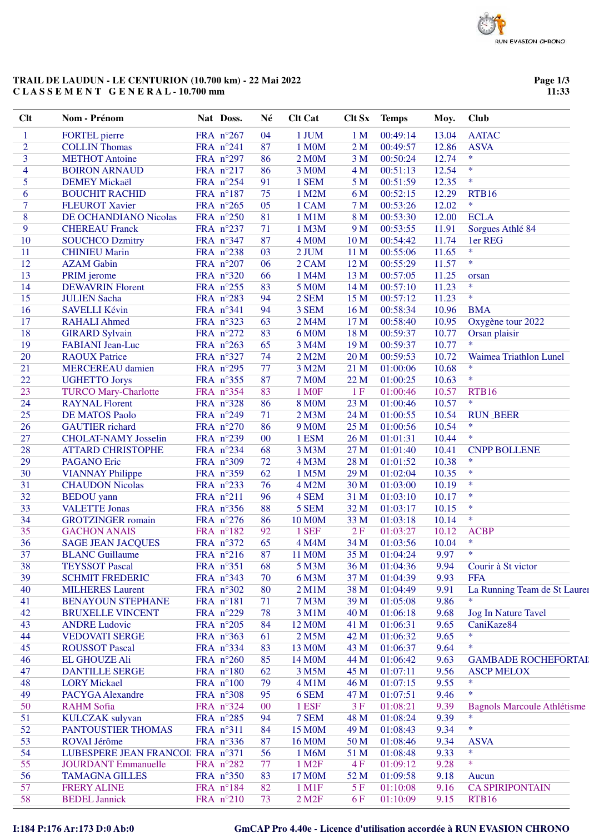## TRAIL DE LAUDUN - LE CENTURION (10.700 km) - 22 Mai 2022 CLASSEMENT GENERAL-10.700 mm

Page 1/3  $11:33$ 

| Clt            | <b>Nom - Prénom</b>              |           | Nat Doss.          | Né     | <b>Clt Cat</b>      | Clt Sx          | <b>Temps</b> | Moy.  | <b>Club</b>                        |
|----------------|----------------------------------|-----------|--------------------|--------|---------------------|-----------------|--------------|-------|------------------------------------|
| 1              | <b>FORTEL</b> pierre             |           | FRA n°267          | 04     | 1 JUM               | 1 <sub>M</sub>  | 00:49:14     | 13.04 | <b>AATAC</b>                       |
| $\overline{2}$ | <b>COLLIN Thomas</b>             | FRA n°241 |                    | 87     | 1 M0M               | 2M              | 00:49:57     | 12.86 | <b>ASVA</b>                        |
| 3              | <b>METHOT Antoine</b>            |           | FRA n°297          | 86     | 2 M <sub>0</sub> M  | 3 <sub>M</sub>  | 00:50:24     | 12.74 | $\ast$                             |
| $\overline{4}$ | <b>BOIRON ARNAUD</b>             |           | FRA n°217          | 86     | 3 M0M               | 4 M             | 00:51:13     | 12.54 | $\ast$                             |
| 5              | <b>DEMEY Mickaël</b>             |           | FRA n°254          | 91     | 1 SEM               | 5 <sub>M</sub>  | 00:51:59     | 12.35 | $\ast$                             |
| 6              | <b>BOUCHIT RACHID</b>            |           | FRA n°187          | 75     | 1 M2M               | 6 M             | 00:52:15     | 12.29 | RTB16                              |
| $\overline{7}$ | <b>FLEUROT Xavier</b>            |           | FRA n°265          | 05     | 1 CAM               | 7 <sub>M</sub>  | 00:53:26     | 12.02 | $\ast$                             |
| 8              | DE OCHANDIANO Nicolas            |           | FRA n°250          | 81     | 1 M1M               | 8 M             | 00:53:30     | 12.00 | <b>ECLA</b>                        |
| 9              | <b>CHEREAU Franck</b>            |           | FRA n°237          | 71     | 1 M3M               | 9 M             | 00:53:55     | 11.91 | Sorgues Athlé 84                   |
| 10             | <b>SOUCHCO Dzmitry</b>           |           | FRA n°347          | 87     | 4 M <sub>O</sub> M  | 10 <sub>M</sub> | 00:54:42     | 11.74 | 1er REG                            |
| 11             | <b>CHINIEU Marin</b>             |           | FRA n°238          | 03     | 2 JUM               | 11 M            | 00:55:06     | 11.65 | $\ast$                             |
| 12             | <b>AZAM Gabin</b>                |           | FRA n°207          | 06     | 2 CAM               | 12 M            | 00:55:29     | 11.57 | $\ast$                             |
| 13             | PRIM jerome                      |           | FRA n°320          | 66     | 1 M4M               | 13 M            | 00:57:05     | 11.25 | orsan                              |
| 14             | <b>DEWAVRIN Florent</b>          |           | FRA n°255          | 83     | <b>5 M0M</b>        | 14M             | 00:57:10     | 11.23 | $\ast$                             |
| 15             | <b>JULIEN Sacha</b>              |           | FRA n°283          | 94     | 2 SEM               | 15 M            | 00:57:12     | 11.23 | $\ast$                             |
| 16             | <b>SAVELLI Kévin</b>             | FRA nº341 |                    | 94     | 3 SEM               | 16M             | 00:58:34     | 10.96 | <b>BMA</b>                         |
| 17             | <b>RAHALI Ahmed</b>              |           | FRA n°323          | 63     | 2 M4M               | 17 M            | 00:58:40     | 10.95 | Oxygène tour 2022                  |
| 18             | <b>GIRARD Sylvain</b>            |           | FRA n°272          | 83     | 6 M0M               | 18 M            | 00:59:37     | 10.77 | Orsan plaisir                      |
| 19             | <b>FABIANI</b> Jean-Luc          |           | FRA n°263          | 65     | 3 M4M               | 19 <sub>M</sub> | 00:59:37     | 10.77 | $\ast$                             |
| 20             | <b>RAOUX Patrice</b>             |           | FRA n°327          | 74     | 2 M2M               | 20 <sub>M</sub> | 00:59:53     | 10.72 | Waimea Triathlon Lunel             |
| 21             | <b>MERCEREAU</b> damien          |           | FRA n°295          | 77     | 3 M2M               | 21 M            | 01:00:06     | 10.68 | $\ast$                             |
| 22             | <b>UGHETTO Jorys</b>             |           | FRA nº355          | 87     | <b>7 M0M</b>        | 22 M            | 01:00:25     | 10.63 | $\ast$                             |
| 23             | <b>TURCO Mary-Charlotte</b>      |           | FRA nº354          | 83     | 1 M <sub>OF</sub>   | 1F              | 01:00:46     | 10.57 | RTB16                              |
| 24             | <b>RAYNAL Florent</b>            |           | FRA n°328          | 86     | <b>8 M0M</b>        | 23 M            | 01:00:46     | 10.57 | $\ast$                             |
| 25             | <b>DE MATOS Paolo</b>            |           | FRA n°249          | 71     | 2 M3M               | 24 M            | 01:00:55     | 10.54 | <b>RUN BEER</b>                    |
| 26             | <b>GAUTIER</b> richard           |           | FRA n°270          | 86     | 9 M <sub>0</sub> M  | 25 M            | 01:00:56     | 10.54 | $\ast$                             |
| 27             | <b>CHOLAT-NAMY Josselin</b>      |           | FRA n°239          | 00     | 1 ESM               | 26 M            | 01:01:31     | 10.44 | $\ast$                             |
| 28             | <b>ATTARD CHRISTOPHE</b>         |           | FRA n°234          | 68     | 3 M3M               | 27 M            | 01:01:40     | 10.41 | <b>CNPP BOLLENE</b>                |
| 29             | <b>PAGANO Eric</b>               |           | FRA n°309          | 72     | 4 M3M               | 28 M            | 01:01:52     | 10.38 | $\ast$                             |
| 30             | <b>VIANNAY Philippe</b>          |           | FRA nº359          | 62     | 1 M5M               | 29 M            | 01:02:04     | 10.35 | $\ast$                             |
| 31             | <b>CHAUDON Nicolas</b>           |           | FRA n°233          | 76     | 4 M2M               | 30 M            | 01:03:00     | 10.19 | $\ast$                             |
| 32             | <b>BEDOU</b> yann                | FRA n°211 |                    | 96     | 4 SEM               | 31 M            | 01:03:10     | 10.17 | $\ast$                             |
| 33             | <b>VALETTE Jonas</b>             |           | FRA n°356          | 88     | 5 SEM               | 32 M            | 01:03:17     | 10.15 | $\ast$                             |
| 34             | <b>GROTZINGER</b> romain         |           | FRA n°276          | 86     | <b>10 M0M</b>       | 33 M            | 01:03:18     | 10.14 | $\ast$                             |
| 35             | <b>GACHON ANAIS</b>              |           | FRA n°182          | 92     | 1 SEF               | 2F              | 01:03:27     | 10.12 | <b>ACBP</b>                        |
| 36             | <b>SAGE JEAN JACQUES</b>         |           | FRA n°372          | 65     | 4 M4M               | 34 M            | 01:03:56     | 10.04 | $\ast$                             |
| 37             | <b>BLANC</b> Guillaume           |           | FRA n°216          | 87     | 11 M <sub>0</sub> M | 35 M            | 01:04:24     | 9.97  | $\ast$                             |
| 38             | <b>TEYSSOT Pascal</b>            | FRA nº351 |                    | 68     | 5 M3M               | 36 M            | 01:04:36     | 9.94  | Courir à St victor                 |
| 39             | <b>SCHMIT FREDERIC</b>           |           | FRA n°343          | 70     | 6 M3M               | 37 M            | 01:04:39     | 9.93  | <b>FFA</b>                         |
| 40             | <b>MILHERES Laurent</b>          |           | FRA n°302          | 80     | $2$ M $1$ M         | 38 M            | 01:04:49     | 9.91  | La Running Team de St Laurer       |
| 41             | <b>BENAYOUN STEPHANE</b>         | FRA n°181 |                    | 71     | <b>7 M3M</b>        | 39 M            | 01:05:08     | 9.86  | $\ast$                             |
| 42             | <b>BRUXELLE VINCENT</b>          |           | FRA n°229          | 78     | 3 M1M               | 40 M            | 01:06:18     | 9.68  | <b>Jog In Nature Tavel</b>         |
| 43             | <b>ANDRE Ludovic</b>             |           | FRA $n^{\circ}205$ | 84     | 12 M <sub>O</sub> M | 41 M            | 01:06:31     | 9.65  | CaniKaze84                         |
| 44             | <b>VEDOVATI SERGE</b>            |           | FRA n°363          | 61     | 2 M5M               | 42 M            | 01:06:32     | 9.65  | $\ast$                             |
| 45             | <b>ROUSSOT Pascal</b>            |           | FRA n°334          | 83     | 13 M <sub>O</sub> M | 43 M            | 01:06:37     | 9.64  | $\ast$                             |
| 46             | <b>EL GHOUZE Ali</b>             |           | FRA $n^{\circ}260$ | 85     | 14 M <sub>O</sub> M | 44 M            | 01:06:42     | 9.63  | <b>GAMBADE ROCHEFORTAI</b>         |
| 47             | <b>DANTILLE SERGE</b>            |           | FRA n°180          | 62     | 3 M5M               | 45 M            | 01:07:11     | 9.56  | <b>ASCP MELOX</b>                  |
| 48             | <b>LORY</b> Mickael              |           | FRA n°100          | 79     | 4 M1M               | 46 M            | 01:07:15     | 9.55  | $\ast$                             |
| 49             | PACYGA Alexandre                 |           | FRA n°308          | 95     | 6 SEM               | 47 M            | 01:07:51     | 9.46  | $\ast$                             |
| 50             | <b>RAHM</b> Sofia                |           | FRA n°324          | $00\,$ | 1 ESF               | 3F              | 01:08:21     | 9.39  | <b>Bagnols Marcoule Athlétisme</b> |
| 51             | <b>KULCZAK</b> sulyvan           |           | FRA $n^{\circ}285$ | 94     | 7 SEM               | 48 M            | 01:08:24     | 9.39  | $\ast$                             |
| 52             | PANTOUSTIER THOMAS               |           | FRA n°311          | 84     | 15 M <sub>0</sub> M | 49 M            | 01:08:43     | 9.34  | $\ast$                             |
| 53             | ROVAI Jérôme                     |           | FRA n°336          | 87     | 16 M <sub>0</sub> M | 50 M            | 01:08:46     | 9.34  | <b>ASVA</b>                        |
| 54             | LUBESPERE JEAN FRANCOI FRA nº371 |           |                    | 56     | 1 M6M               | 51 M            | 01:08:48     | 9.33  | $\ast$                             |
| 55             | <b>JOURDANT</b> Emmanuelle       |           | FRA n°282          | 77     | 1 M <sub>2</sub> F  | 4F              | 01:09:12     | 9.28  | $\ast$                             |
| 56             | <b>TAMAGNA GILLES</b>            |           | FRA n°350          | 83     | 17 M0M              | 52 M            | 01:09:58     | 9.18  | Aucun                              |
| 57             | <b>FRERY ALINE</b>               |           | FRA n°184          | 82     | 1 M1F               | 5F              | 01:10:08     | 9.16  | <b>CA SPIRIPONTAIN</b>             |
| 58             | <b>BEDEL Jannick</b>             |           | FRA n°210          | 73     | 2 M <sub>2</sub> F  | 6F              | 01:10:09     | 9.15  | RTB16                              |

I:184 P:176 Ar:173 D:0 Ab:0

GmCAP Pro 4.40e - Licence d'utilisation accordée à RUN EVASION CHRONO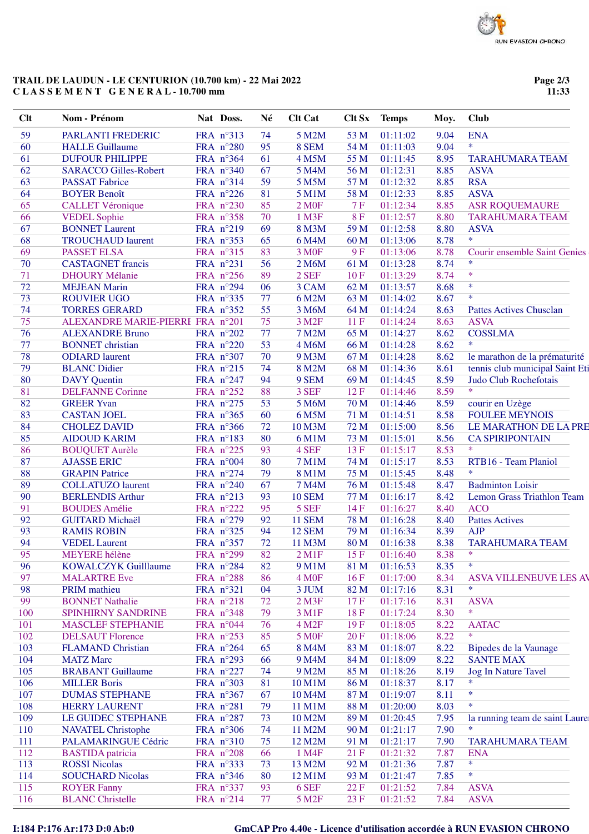## **TRAIL DE LAUDUN - LE CENTURION (10.700 km) - 22 Mai 2022 C L A S S E M E N T G E N E R A L - 10.700 mm**

**Page 2/3 11:33**

| Clt | <b>Nom - Prénom</b>              | Nat Doss.          | Né | <b>Clt Cat</b>     | Clt Sx    | <b>Temps</b>  | Moy. | <b>Club</b>                         |
|-----|----------------------------------|--------------------|----|--------------------|-----------|---------------|------|-------------------------------------|
| 59  | PARLANTI FREDERIC                | FRA n°313          | 74 | 5 M2M              | 53 M      | 01:11:02      | 9.04 | <b>ENA</b>                          |
| 60  | <b>HALLE Guillaume</b>           | FRA n°280          | 95 | 8 SEM              | 54 M      | 01:11:03      | 9.04 | $\ast$                              |
| 61  | <b>DUFOUR PHILIPPE</b>           | FRA n°364          | 61 | 4 M5M              | 55 M      | 01:11:45      | 8.95 | <b>TARAHUMARA TEAM</b>              |
| 62  | <b>SARACCO Gilles-Robert</b>     | FRA n°340          | 67 | 5 M4M              | 56 M      | 01:12:31      | 8.85 | <b>ASVA</b>                         |
| 63  | <b>PASSAT Fabrice</b>            | FRA n°314          | 59 | 5 M5M              | 57 M      | 01:12:32      | 8.85 | <b>RSA</b>                          |
| 64  | <b>BOYER Benoît</b>              | FRA n°226          | 81 | 5 M1M              | 58 M      | 01:12:33      | 8.85 | <b>ASVA</b>                         |
| 65  | <b>CALLET Véronique</b>          | FRA n°230          | 85 | 2 M <sub>OF</sub>  | 7F        | 01:12:34      | 8.85 | <b>ASR ROQUEMAURE</b>               |
| 66  | <b>VEDEL Sophie</b>              | FRA n°358          | 70 | 1 M3F              | <b>8F</b> | 01:12:57      | 8.80 | <b>TARAHUMARA TEAM</b>              |
| 67  | <b>BONNET Laurent</b>            | FRA n°219          | 69 | 8 M3M              | 59 M      | 01:12:58      | 8.80 | <b>ASVA</b>                         |
| 68  | <b>TROUCHAUD</b> laurent         | FRA nº353          | 65 | 6 M4M              | 60 M      | 01:13:06      | 8.78 | $\ast$                              |
| 69  | <b>PASSET ELSA</b>               | FRA n°315          | 83 | 3 M <sub>OF</sub>  | <b>9F</b> | 01:13:06      | 8.78 | <b>Courir ensemble Saint Genies</b> |
| 70  | <b>CASTAGNET</b> francis         | FRA n°231          | 56 | 2 M6M              | 61 M      | 01:13:28      | 8.74 | $\ast$                              |
| 71  | <b>DHOURY Mélanie</b>            | FRA n°256          | 89 | 2 SEF              | 10F       | 01:13:29      | 8.74 | $\ast$                              |
| 72  | <b>MEJEAN Marin</b>              | FRA n°294          | 06 | 3 CAM              | 62 M      | 01:13:57      | 8.68 | $\ast$                              |
| 73  | <b>ROUVIER UGO</b>               | FRA nº335          | 77 | 6 M2M              | 63 M      | 01:14:02      | 8.67 | $\ast$                              |
| 74  | <b>TORRES GERARD</b>             | FRA n°352          | 55 | 3 M6M              | 64 M      | 01:14:24      | 8.63 | <b>Pattes Actives Chusclan</b>      |
| 75  | ALEXANDRE MARIE-PIERRI FRA n°201 |                    | 75 | 3 M <sub>2F</sub>  | 11F       | 01:14:24      | 8.63 | <b>ASVA</b>                         |
| 76  | <b>ALEXANDRE Bruno</b>           | FRA $n^{\circ}202$ | 77 | <b>7 M2M</b>       | 65 M      | 01:14:27      | 8.62 | <b>COSSLMA</b>                      |
| 77  | <b>BONNET</b> christian          | FRA n°220          | 53 | 4 M6M              | 66 M      | 01:14:28      | 8.62 | $\ast$                              |
| 78  | <b>ODIARD</b> laurent            | FRA n°307          | 70 | 9 M3M              | 67 M      | 01:14:28      | 8.62 | le marathon de la prématurité       |
| 79  | <b>BLANC Didier</b>              | FRA n°215          | 74 | 8 M2M              | 68 M      | 01:14:36      | 8.61 | tennis club municipal Saint Eti     |
| 80  | <b>DAVY</b> Quentin              | FRA n°247          | 94 | 9 SEM              | 69 M      | 01:14:45      | 8.59 | Judo Club Rochefotais               |
| 81  | <b>DELFANNE Corinne</b>          | FRA n°252          | 88 | 3 SEF              | 12F       | 01:14:46      | 8.59 | *                                   |
| 82  | <b>GREER Yvan</b>                | FRA n°275          | 53 | 5 M6M              | 70 M      | 01:14:46      | 8.59 | courir en Uzège                     |
| 83  | <b>CASTAN JOEL</b>               | FRA n°365          | 60 | 6 M5M              | 71 M      | 01:14:51      | 8.58 | <b>FOULEE MEYNOIS</b>               |
| 84  | <b>CHOLEZ DAVID</b>              | FRA n°366          | 72 | 10 M3M             | 72 M      | 01:15:00      | 8.56 | LE MARATHON DE LA PRE               |
| 85  | <b>AIDOUD KARIM</b>              | FRA n°183          | 80 | 6 M1M              | 73 M      | 01:15:01      | 8.56 | <b>CA SPIRIPONTAIN</b>              |
| 86  | <b>BOUQUET Aurèle</b>            | FRA n°225          | 93 | 4 SEF              | 13F       | 01:15:17      | 8.53 | $\ast$                              |
| 87  | <b>AJASSE ERIC</b>               | FRA n°004          | 80 | <b>7 M1M</b>       | 74 M      | 01:15:17      | 8.53 | RTB16 - Team Planiol                |
| 88  | <b>GRAPIN Patrice</b>            | FRA n°274          | 79 | 8 M1M              | 75 M      | 01:15:45      | 8.48 | $\ast$                              |
| 89  | <b>COLLATUZO</b> laurent         | FRA n°240          | 67 | <b>7 M4M</b>       | 76 M      | 01:15:48      | 8.47 | <b>Badminton Loisir</b>             |
| 90  | <b>BERLENDIS Arthur</b>          | FRA n°213          | 93 | <b>10 SEM</b>      | 77 M      | 01:16:17      | 8.42 | Lemon Grass Triathlon Team          |
| 91  | <b>BOUDES</b> Amélie             | FRA n°222          | 95 | 5 SEF              | 14F       | 01:16:27      | 8.40 | <b>ACO</b>                          |
| 92  | <b>GUITARD Michaël</b>           | FRA n°279          | 92 | <b>11 SEM</b>      | 78 M      | 01:16:28      | 8.40 | <b>Pattes Actives</b>               |
| 93  | <b>RAMIS ROBIN</b>               | FRA n°325          | 94 | <b>12 SEM</b>      | 79 M      | 01:16:34      | 8.39 | <b>AJP</b>                          |
| 94  | <b>VEDEL Laurent</b>             | FRA n°357          | 72 | 11 M3M             | 80 M      | 01:16:38      | 8.38 | <b>TARAHUMARA TEAM</b>              |
| 95  | MEYERE hélène                    | FRA n°299          | 82 | $2$ M1F            |           | 15 F 01:16:40 | 8.38 | $*$                                 |
| 96  | <b>KOWALCZYK Guilllaume</b>      | FRA n°284          | 82 | 9 M1M              | 81 M      | 01:16:53      | 8.35 | $\ast$                              |
| 97  | <b>MALARTRE Eve</b>              | FRA n°288          | 86 | 4 M <sub>OF</sub>  | 16F       | 01:17:00      | 8.34 | ASVA VILLENEUVE LES AV              |
| 98  | <b>PRIM</b> mathieu              | FRA n°321          | 04 | 3 JUM              | 82 M      | 01:17:16      | 8.31 | $\ast$                              |
| 99  | <b>BONNET Nathalie</b>           | FRA n°218          | 72 | $2$ M3F            | 17F       | 01:17:16      | 8.31 | <b>ASVA</b>                         |
| 100 | SPINHIRNY SANDRINE               | FRA n°348          | 79 | 3 M1F              | 18F       | 01:17:24      | 8.30 | $\ast$                              |
| 101 | <b>MASCLEF STEPHANIE</b>         | FRA n°044          | 76 | 4 M <sub>2</sub> F | 19F       | 01:18:05      | 8.22 | <b>AATAC</b>                        |
| 102 | <b>DELSAUT Florence</b>          | FRA n°253          | 85 | <b>5 MOF</b>       | 20F       | 01:18:06      | 8.22 | *                                   |
| 103 | <b>FLAMAND Christian</b>         | FRA n°264          | 65 | 8 M4M              | 83 M      | 01:18:07      | 8.22 | Bipedes de la Vaunage               |
| 104 | <b>MATZ Marc</b>                 | FRA $n^{\circ}293$ | 66 | 9 M4M              | 84 M      | 01:18:09      | 8.22 | <b>SANTE MAX</b>                    |
| 105 | <b>BRABANT</b> Guillaume         | FRA n°227          | 74 | 9 M2M              | 85 M      | 01:18:26      | 8.19 | <b>Jog In Nature Tavel</b>          |
| 106 | <b>MILLER Boris</b>              | FRA $n^{\circ}303$ | 81 | 10 M1M             | 86 M      | 01:18:37      | 8.17 | $\ast$                              |
| 107 | <b>DUMAS STEPHANE</b>            | FRA n°367          | 67 | 10 M4M             | 87 M      | 01:19:07      | 8.11 | $\ast$                              |
| 108 | <b>HERRY LAURENT</b>             | FRA n°281          | 79 | 11 M1M             | 88 M      | 01:20:00      | 8.03 | $\ast$                              |
| 109 | LE GUIDEC STEPHANE               | FRA n°287          | 73 | 10 M2M             | 89 M      | 01:20:45      | 7.95 | la running team de saint Laurer     |
| 110 | <b>NAVATEL Christophe</b>        | FRA $n^{\circ}306$ | 74 | 11 M2M             | 90 M      | 01:21:17      | 7.90 | *                                   |
| 111 | PALAMARINGUE Cédric              | FRA n°310          | 75 | 12 M2M             | 91 M      | 01:21:17      | 7.90 | <b>TARAHUMARA TEAM</b>              |
| 112 | <b>BASTIDA</b> patricia          | FRA $n^{\circ}208$ | 66 | 1 M4F              | 21F       | 01:21:32      | 7.87 | <b>ENA</b>                          |
| 113 | <b>ROSSI</b> Nicolas             | FRA n°333          | 73 | 13 M2M             | 92 M      | 01:21:36      | 7.87 | $\ast$                              |
| 114 | <b>SOUCHARD Nicolas</b>          | FRA $n^{\circ}346$ | 80 | 12 M1M             | 93 M      | 01:21:47      | 7.85 | $\ast$                              |
| 115 | <b>ROYER Fanny</b>               | FRA n°337          | 93 | 6 SEF              | 22F       | 01:21:52      | 7.84 | <b>ASVA</b>                         |
| 116 | <b>BLANC</b> Christelle          | FRA $n^{\circ}214$ | 77 | 5 M <sub>2</sub> F | 23 F      | 01:21:52      | 7.84 | <b>ASVA</b>                         |

**I:184 P:176 Ar:173 D:0 Ab:0 GmCAP Pro 4.40e - Licence d'utilisation accordée à RUN EVASION CHRONO**